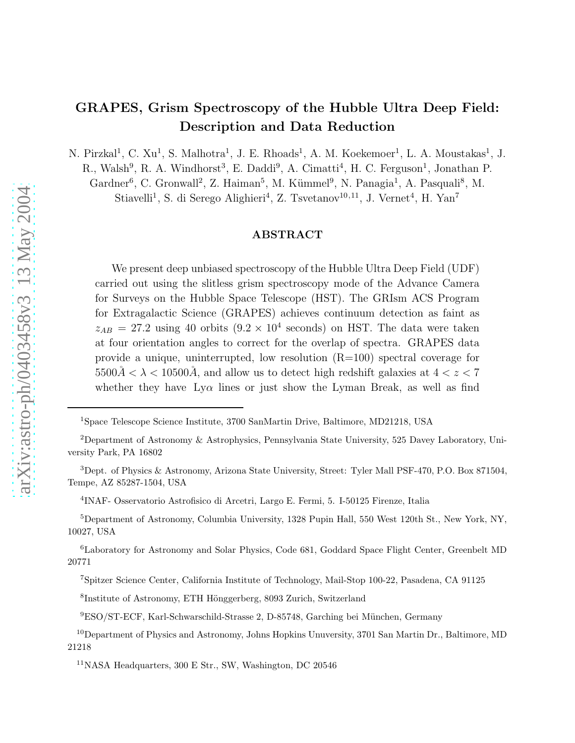# GRAPES, Grism Spectroscopy of the Hubble Ultra Deep Field: Description and Data Reduction

N. Pirzkal<sup>1</sup>, C. Xu<sup>1</sup>, S. Malhotra<sup>1</sup>, J. E. Rhoads<sup>1</sup>, A. M. Koekemoer<sup>1</sup>, L. A. Moustakas<sup>1</sup>, J.

R., Walsh<sup>9</sup>, R. A. Windhorst<sup>3</sup>, E. Daddi<sup>9</sup>, A. Cimatti<sup>4</sup>, H. C. Ferguson<sup>1</sup>, Jonathan P.

Gardner<sup>6</sup>, C. Gronwall<sup>2</sup>, Z. Haiman<sup>5</sup>, M. Kümmel<sup>9</sup>, N. Panagia<sup>1</sup>, A. Pasquali<sup>8</sup>, M. Stiavelli<sup>1</sup>, S. di Serego Alighieri<sup>4</sup>, Z. Tsvetanov<sup>10,11</sup>, J. Vernet<sup>4</sup>, H. Yan<sup>7</sup>

# ABSTRACT

We present deep unbiased spectroscopy of the Hubble Ultra Deep Field (UDF) carried out using the slitless grism spectroscopy mode of the Advance Camera for Surveys on the Hubble Space Telescope (HST). The GRIsm ACS Program for Extragalactic Science (GRAPES) achieves continuum detection as faint as  $z_{AB}$  = 27.2 using 40 orbits  $(9.2 \times 10^4 \text{ seconds})$  on HST. The data were taken at four orientation angles to correct for the overlap of spectra. GRAPES data provide a unique, uninterrupted, low resolution (R=100) spectral coverage for  $5500\AA<\lambda<10500\AA$ , and allow us to detect high redshift galaxies at  $4 < z < 7$ whether they have  $Ly\alpha$  lines or just show the Lyman Break, as well as find

4 INAF- Osservatorio Astrofisico di Arcetri, Largo E. Fermi, 5. I-50125 Firenze, Italia

<sup>5</sup>Department of Astronomy, Columbia University, 1328 Pupin Hall, 550 West 120th St., New York, NY, 10027, USA

<sup>6</sup>Laboratory for Astronomy and Solar Physics, Code 681, Goddard Space Flight Center, Greenbelt MD 20771

<sup>1</sup>Space Telescope Science Institute, 3700 SanMartin Drive, Baltimore, MD21218, USA

<sup>2</sup>Department of Astronomy & Astrophysics, Pennsylvania State University, 525 Davey Laboratory, University Park, PA 16802

<sup>3</sup>Dept. of Physics & Astronomy, Arizona State University, Street: Tyler Mall PSF-470, P.O. Box 871504, Tempe, AZ 85287-1504, USA

<sup>7</sup>Spitzer Science Center, California Institute of Technology, Mail-Stop 100-22, Pasadena, CA 91125

<sup>&</sup>lt;sup>8</sup>Institute of Astronomy, ETH Hönggerberg, 8093 Zurich, Switzerland

<sup>&</sup>lt;sup>9</sup>ESO/ST-ECF, Karl-Schwarschild-Strasse 2, D-85748, Garching bei München, Germany

<sup>&</sup>lt;sup>10</sup>Department of Physics and Astronomy, Johns Hopkins Unuversity, 3701 San Martin Dr., Baltimore, MD 21218

 $11$ NASA Headquarters, 300 E Str., SW, Washington, DC 20546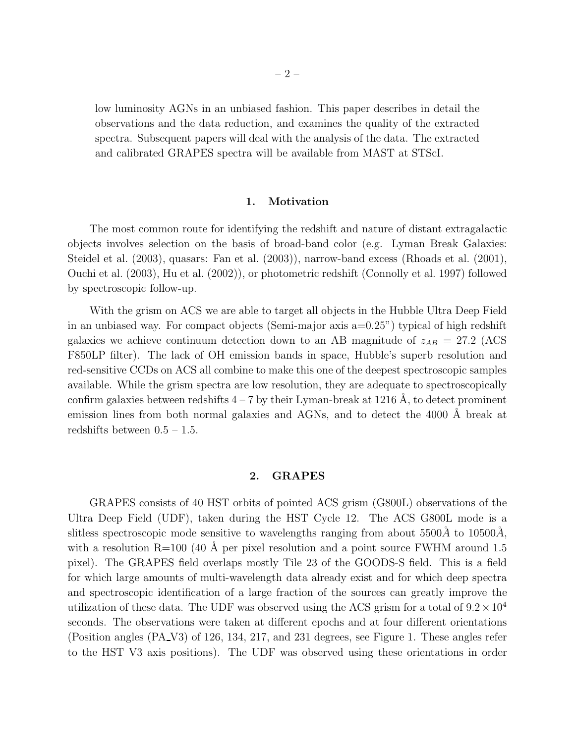low luminosity AGNs in an unbiased fashion. This paper describes in detail the observations and the data reduction, and examines the quality of the extracted spectra. Subsequent papers will deal with the analysis of the data. The extracted and calibrated GRAPES spectra will be available from MAST at STScI.

## 1. Motivation

The most common route for identifying the redshift and nature of distant extragalactic objects involves selection on the basis of broad-band color (e.g. Lyman Break Galaxies: Steidel et al. (2003), quasars: Fan et al. (2003)), narrow-band excess (Rhoads et al. (2001), Ouchi et al. (2003), Hu et al. (2002)), or photometric redshift (Connolly et al. 1997) followed by spectroscopic follow-up.

With the grism on ACS we are able to target all objects in the Hubble Ultra Deep Field in an unbiased way. For compact objects (Semi-major axis a=0.25") typical of high redshift galaxies we achieve continuum detection down to an AB magnitude of  $z_{AB} = 27.2$  (ACS) F850LP filter). The lack of OH emission bands in space, Hubble's superb resolution and red-sensitive CCDs on ACS all combine to make this one of the deepest spectroscopic samples available. While the grism spectra are low resolution, they are adequate to spectroscopically confirm galaxies between redshifts  $4 - 7$  by their Lyman-break at 1216 Å, to detect prominent emission lines from both normal galaxies and AGNs, and to detect the 4000 Å break at redshifts between  $0.5 - 1.5$ .

## 2. GRAPES

GRAPES consists of 40 HST orbits of pointed ACS grism (G800L) observations of the Ultra Deep Field (UDF), taken during the HST Cycle 12. The ACS G800L mode is a slitless spectroscopic mode sensitive to wavelengths ranging from about  $5500\AA$  to  $10500\AA$ , with a resolution  $R=100$  (40 Å per pixel resolution and a point source FWHM around 1.5 pixel). The GRAPES field overlaps mostly Tile 23 of the GOODS-S field. This is a field for which large amounts of multi-wavelength data already exist and for which deep spectra and spectroscopic identification of a large fraction of the sources can greatly improve the utilization of these data. The UDF was observed using the ACS grism for a total of  $9.2 \times 10^4$ seconds. The observations were taken at different epochs and at four different orientations (Position angles (PA V3) of 126, 134, 217, and 231 degrees, see Figure 1. These angles refer to the HST V3 axis positions). The UDF was observed using these orientations in order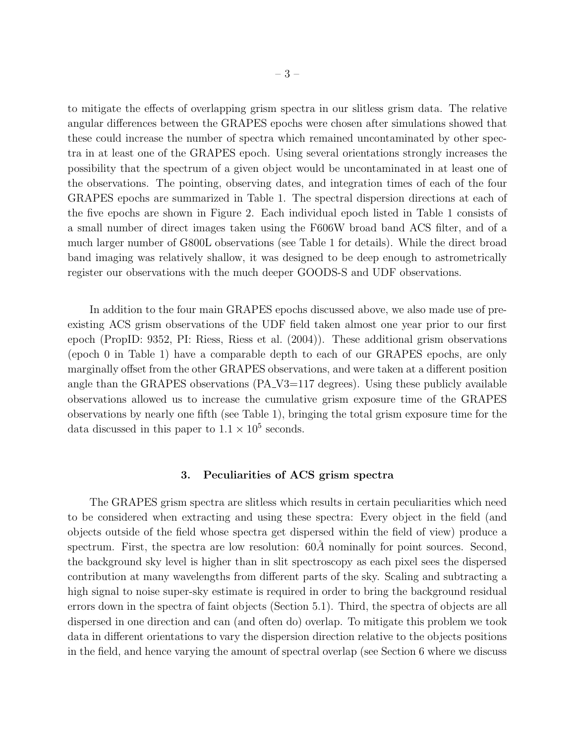to mitigate the effects of overlapping grism spectra in our slitless grism data. The relative angular differences between the GRAPES epochs were chosen after simulations showed that these could increase the number of spectra which remained uncontaminated by other spectra in at least one of the GRAPES epoch. Using several orientations strongly increases the possibility that the spectrum of a given object would be uncontaminated in at least one of the observations. The pointing, observing dates, and integration times of each of the four GRAPES epochs are summarized in Table 1. The spectral dispersion directions at each of the five epochs are shown in Figure 2. Each individual epoch listed in Table 1 consists of a small number of direct images taken using the F606W broad band ACS filter, and of a much larger number of G800L observations (see Table 1 for details). While the direct broad band imaging was relatively shallow, it was designed to be deep enough to astrometrically register our observations with the much deeper GOODS-S and UDF observations.

In addition to the four main GRAPES epochs discussed above, we also made use of preexisting ACS grism observations of the UDF field taken almost one year prior to our first epoch (PropID: 9352, PI: Riess, Riess et al. (2004)). These additional grism observations (epoch 0 in Table 1) have a comparable depth to each of our GRAPES epochs, are only marginally offset from the other GRAPES observations, and were taken at a different position angle than the GRAPES observations  $(PA_V3=117$  degrees). Using these publicly available observations allowed us to increase the cumulative grism exposure time of the GRAPES observations by nearly one fifth (see Table 1), bringing the total grism exposure time for the data discussed in this paper to  $1.1 \times 10^5$  seconds.

## 3. Peculiarities of ACS grism spectra

The GRAPES grism spectra are slitless which results in certain peculiarities which need to be considered when extracting and using these spectra: Every object in the field (and objects outside of the field whose spectra get dispersed within the field of view) produce a spectrum. First, the spectra are low resolution:  $60\AA$  nominally for point sources. Second, the background sky level is higher than in slit spectroscopy as each pixel sees the dispersed contribution at many wavelengths from different parts of the sky. Scaling and subtracting a high signal to noise super-sky estimate is required in order to bring the background residual errors down in the spectra of faint objects (Section 5.1). Third, the spectra of objects are all dispersed in one direction and can (and often do) overlap. To mitigate this problem we took data in different orientations to vary the dispersion direction relative to the objects positions in the field, and hence varying the amount of spectral overlap (see Section 6 where we discuss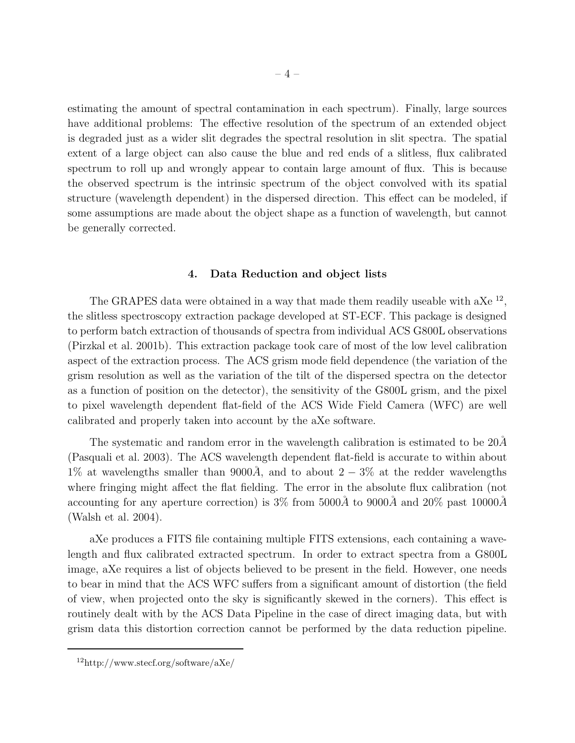estimating the amount of spectral contamination in each spectrum). Finally, large sources have additional problems: The effective resolution of the spectrum of an extended object is degraded just as a wider slit degrades the spectral resolution in slit spectra. The spatial extent of a large object can also cause the blue and red ends of a slitless, flux calibrated spectrum to roll up and wrongly appear to contain large amount of flux. This is because the observed spectrum is the intrinsic spectrum of the object convolved with its spatial structure (wavelength dependent) in the dispersed direction. This effect can be modeled, if some assumptions are made about the object shape as a function of wavelength, but cannot be generally corrected.

## 4. Data Reduction and object lists

The GRAPES data were obtained in a way that made them readily useable with a $Xe^{-12}$ , the slitless spectroscopy extraction package developed at ST-ECF. This package is designed to perform batch extraction of thousands of spectra from individual ACS G800L observations (Pirzkal et al. 2001b). This extraction package took care of most of the low level calibration aspect of the extraction process. The ACS grism mode field dependence (the variation of the grism resolution as well as the variation of the tilt of the dispersed spectra on the detector as a function of position on the detector), the sensitivity of the G800L grism, and the pixel to pixel wavelength dependent flat-field of the ACS Wide Field Camera (WFC) are well calibrated and properly taken into account by the aXe software.

The systematic and random error in the wavelength calibration is estimated to be  $20\AA$ (Pasquali et al. 2003). The ACS wavelength dependent flat-field is accurate to within about 1% at wavelengths smaller than 9000Å, and to about  $2-3\%$  at the redder wavelengths where fringing might affect the flat fielding. The error in the absolute flux calibration (not accounting for any aperture correction) is  $3\%$  from  $5000\AA$  to  $9000\AA$  and  $20\%$  past  $10000\AA$ (Walsh et al. 2004).

aXe produces a FITS file containing multiple FITS extensions, each containing a wavelength and flux calibrated extracted spectrum. In order to extract spectra from a G800L image, aXe requires a list of objects believed to be present in the field. However, one needs to bear in mind that the ACS WFC suffers from a significant amount of distortion (the field of view, when projected onto the sky is significantly skewed in the corners). This effect is routinely dealt with by the ACS Data Pipeline in the case of direct imaging data, but with grism data this distortion correction cannot be performed by the data reduction pipeline.

<sup>12</sup>http://www.stecf.org/software/aXe/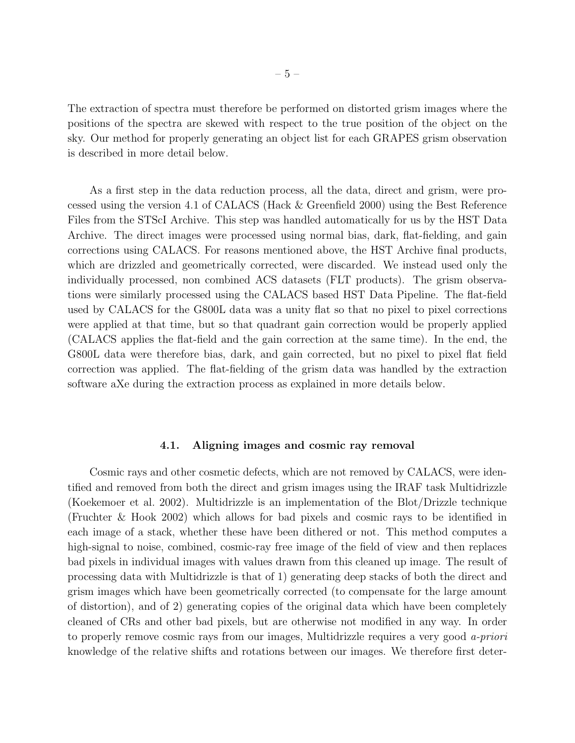The extraction of spectra must therefore be performed on distorted grism images where the positions of the spectra are skewed with respect to the true position of the object on the sky. Our method for properly generating an object list for each GRAPES grism observation is described in more detail below.

As a first step in the data reduction process, all the data, direct and grism, were processed using the version 4.1 of CALACS (Hack & Greenfield 2000) using the Best Reference Files from the STScI Archive. This step was handled automatically for us by the HST Data Archive. The direct images were processed using normal bias, dark, flat-fielding, and gain corrections using CALACS. For reasons mentioned above, the HST Archive final products, which are drizzled and geometrically corrected, were discarded. We instead used only the individually processed, non combined ACS datasets (FLT products). The grism observations were similarly processed using the CALACS based HST Data Pipeline. The flat-field used by CALACS for the G800L data was a unity flat so that no pixel to pixel corrections were applied at that time, but so that quadrant gain correction would be properly applied (CALACS applies the flat-field and the gain correction at the same time). In the end, the G800L data were therefore bias, dark, and gain corrected, but no pixel to pixel flat field correction was applied. The flat-fielding of the grism data was handled by the extraction software aXe during the extraction process as explained in more details below.

#### 4.1. Aligning images and cosmic ray removal

Cosmic rays and other cosmetic defects, which are not removed by CALACS, were identified and removed from both the direct and grism images using the IRAF task Multidrizzle (Koekemoer et al. 2002). Multidrizzle is an implementation of the Blot/Drizzle technique (Fruchter & Hook 2002) which allows for bad pixels and cosmic rays to be identified in each image of a stack, whether these have been dithered or not. This method computes a high-signal to noise, combined, cosmic-ray free image of the field of view and then replaces bad pixels in individual images with values drawn from this cleaned up image. The result of processing data with Multidrizzle is that of 1) generating deep stacks of both the direct and grism images which have been geometrically corrected (to compensate for the large amount of distortion), and of 2) generating copies of the original data which have been completely cleaned of CRs and other bad pixels, but are otherwise not modified in any way. In order to properly remove cosmic rays from our images, Multidrizzle requires a very good a-priori knowledge of the relative shifts and rotations between our images. We therefore first deter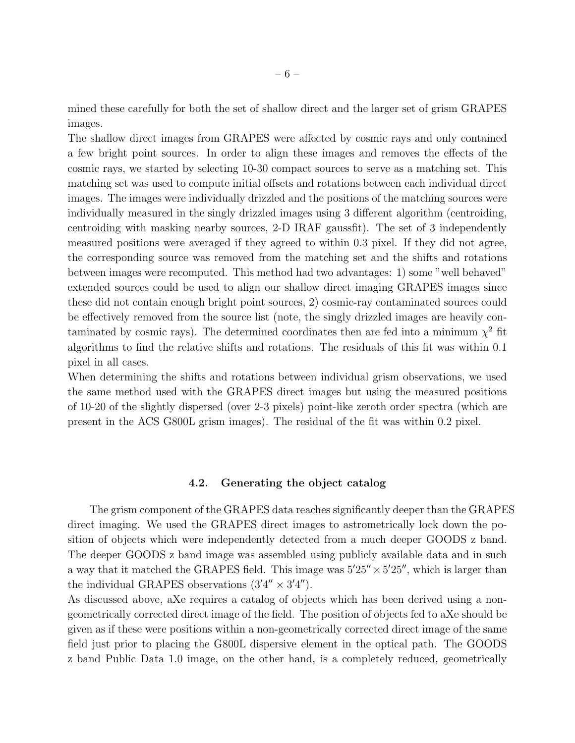mined these carefully for both the set of shallow direct and the larger set of grism GRAPES images.

The shallow direct images from GRAPES were affected by cosmic rays and only contained a few bright point sources. In order to align these images and removes the effects of the cosmic rays, we started by selecting 10-30 compact sources to serve as a matching set. This matching set was used to compute initial offsets and rotations between each individual direct images. The images were individually drizzled and the positions of the matching sources were individually measured in the singly drizzled images using 3 different algorithm (centroiding, centroiding with masking nearby sources, 2-D IRAF gaussfit). The set of 3 independently measured positions were averaged if they agreed to within 0.3 pixel. If they did not agree, the corresponding source was removed from the matching set and the shifts and rotations between images were recomputed. This method had two advantages: 1) some "well behaved" extended sources could be used to align our shallow direct imaging GRAPES images since these did not contain enough bright point sources, 2) cosmic-ray contaminated sources could be effectively removed from the source list (note, the singly drizzled images are heavily contaminated by cosmic rays). The determined coordinates then are fed into a minimum  $\chi^2$  fit algorithms to find the relative shifts and rotations. The residuals of this fit was within 0.1 pixel in all cases.

When determining the shifts and rotations between individual grism observations, we used the same method used with the GRAPES direct images but using the measured positions of 10-20 of the slightly dispersed (over 2-3 pixels) point-like zeroth order spectra (which are present in the ACS G800L grism images). The residual of the fit was within 0.2 pixel.

## 4.2. Generating the object catalog

The grism component of the GRAPES data reaches significantly deeper than the GRAPES direct imaging. We used the GRAPES direct images to astrometrically lock down the position of objects which were independently detected from a much deeper GOODS z band. The deeper GOODS z band image was assembled using publicly available data and in such a way that it matched the GRAPES field. This image was  $5'25'' \times 5'25''$ , which is larger than the individual GRAPES observations  $(3'4'' \times 3'4'')$ .

As discussed above, aXe requires a catalog of objects which has been derived using a nongeometrically corrected direct image of the field. The position of objects fed to aXe should be given as if these were positions within a non-geometrically corrected direct image of the same field just prior to placing the G800L dispersive element in the optical path. The GOODS z band Public Data 1.0 image, on the other hand, is a completely reduced, geometrically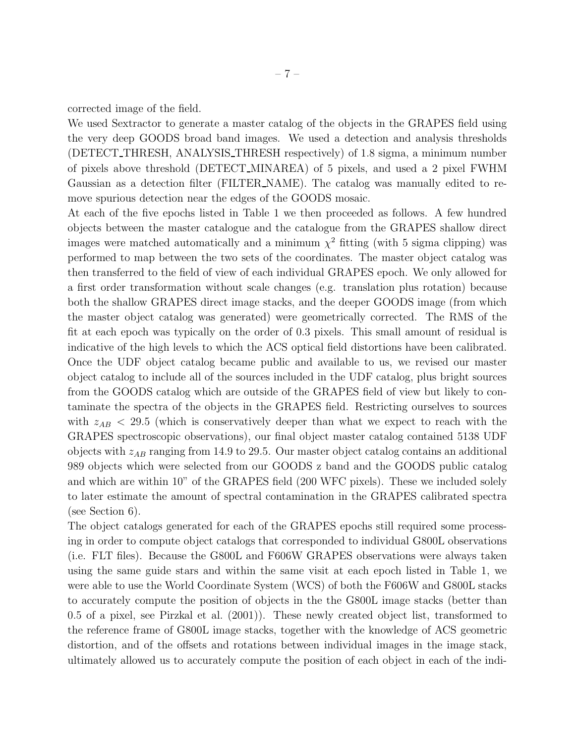corrected image of the field.

We used Sextractor to generate a master catalog of the objects in the GRAPES field using the very deep GOODS broad band images. We used a detection and analysis thresholds (DETECT THRESH, ANALYSIS THRESH respectively) of 1.8 sigma, a minimum number of pixels above threshold (DETECT MINAREA) of 5 pixels, and used a 2 pixel FWHM Gaussian as a detection filter (FILTER NAME). The catalog was manually edited to remove spurious detection near the edges of the GOODS mosaic.

At each of the five epochs listed in Table 1 we then proceeded as follows. A few hundred objects between the master catalogue and the catalogue from the GRAPES shallow direct images were matched automatically and a minimum  $\chi^2$  fitting (with 5 sigma clipping) was performed to map between the two sets of the coordinates. The master object catalog was then transferred to the field of view of each individual GRAPES epoch. We only allowed for a first order transformation without scale changes (e.g. translation plus rotation) because both the shallow GRAPES direct image stacks, and the deeper GOODS image (from which the master object catalog was generated) were geometrically corrected. The RMS of the fit at each epoch was typically on the order of 0.3 pixels. This small amount of residual is indicative of the high levels to which the ACS optical field distortions have been calibrated. Once the UDF object catalog became public and available to us, we revised our master object catalog to include all of the sources included in the UDF catalog, plus bright sources from the GOODS catalog which are outside of the GRAPES field of view but likely to contaminate the spectra of the objects in the GRAPES field. Restricting ourselves to sources with  $z_{AB}$  < 29.5 (which is conservatively deeper than what we expect to reach with the GRAPES spectroscopic observations), our final object master catalog contained 5138 UDF objects with  $z_{AB}$  ranging from 14.9 to 29.5. Our master object catalog contains an additional 989 objects which were selected from our GOODS z band and the GOODS public catalog and which are within 10" of the GRAPES field (200 WFC pixels). These we included solely to later estimate the amount of spectral contamination in the GRAPES calibrated spectra (see Section 6).

The object catalogs generated for each of the GRAPES epochs still required some processing in order to compute object catalogs that corresponded to individual G800L observations (i.e. FLT files). Because the G800L and F606W GRAPES observations were always taken using the same guide stars and within the same visit at each epoch listed in Table 1, we were able to use the World Coordinate System (WCS) of both the F606W and G800L stacks to accurately compute the position of objects in the the G800L image stacks (better than 0.5 of a pixel, see Pirzkal et al. (2001)). These newly created object list, transformed to the reference frame of G800L image stacks, together with the knowledge of ACS geometric distortion, and of the offsets and rotations between individual images in the image stack, ultimately allowed us to accurately compute the position of each object in each of the indi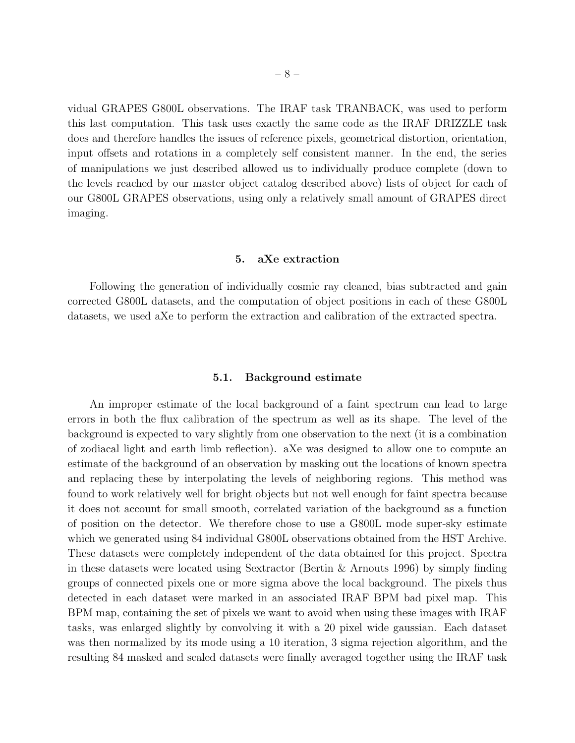vidual GRAPES G800L observations. The IRAF task TRANBACK, was used to perform this last computation. This task uses exactly the same code as the IRAF DRIZZLE task does and therefore handles the issues of reference pixels, geometrical distortion, orientation, input offsets and rotations in a completely self consistent manner. In the end, the series of manipulations we just described allowed us to individually produce complete (down to the levels reached by our master object catalog described above) lists of object for each of our G800L GRAPES observations, using only a relatively small amount of GRAPES direct imaging.

#### 5. aXe extraction

Following the generation of individually cosmic ray cleaned, bias subtracted and gain corrected G800L datasets, and the computation of object positions in each of these G800L datasets, we used aXe to perform the extraction and calibration of the extracted spectra.

## 5.1. Background estimate

An improper estimate of the local background of a faint spectrum can lead to large errors in both the flux calibration of the spectrum as well as its shape. The level of the background is expected to vary slightly from one observation to the next (it is a combination of zodiacal light and earth limb reflection). aXe was designed to allow one to compute an estimate of the background of an observation by masking out the locations of known spectra and replacing these by interpolating the levels of neighboring regions. This method was found to work relatively well for bright objects but not well enough for faint spectra because it does not account for small smooth, correlated variation of the background as a function of position on the detector. We therefore chose to use a G800L mode super-sky estimate which we generated using 84 individual G800L observations obtained from the HST Archive. These datasets were completely independent of the data obtained for this project. Spectra in these datasets were located using Sextractor (Bertin & Arnouts 1996) by simply finding groups of connected pixels one or more sigma above the local background. The pixels thus detected in each dataset were marked in an associated IRAF BPM bad pixel map. This BPM map, containing the set of pixels we want to avoid when using these images with IRAF tasks, was enlarged slightly by convolving it with a 20 pixel wide gaussian. Each dataset was then normalized by its mode using a 10 iteration, 3 sigma rejection algorithm, and the resulting 84 masked and scaled datasets were finally averaged together using the IRAF task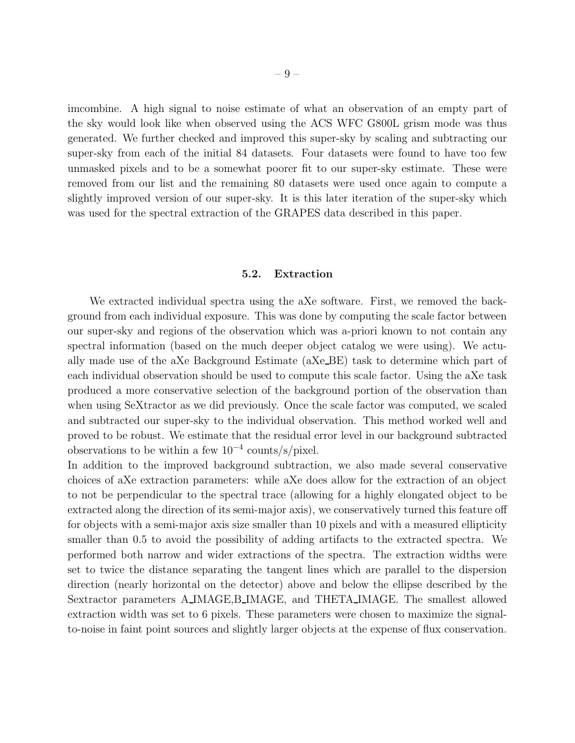imcombine. A high signal to noise estimate of what an observation of an empty part of the sky would look like when observed using the ACS WFC G800L grism mode was thus generated. We further checked and improved this super-sky by scaling and subtracting our super-sky from each of the initial 84 datasets. Four datasets were found to have too few unmasked pixels and to be a somewhat poorer fit to our super-sky estimate. These were removed from our list and the remaining 80 datasets were used once again to compute a slightly improved version of our super-sky. It is this later iteration of the super-sky which was used for the spectral extraction of the GRAPES data described in this paper.

## 5.2. Extraction

We extracted individual spectra using the aXe software. First, we removed the background from each individual exposure. This was done by computing the scale factor between our super-sky and regions of the observation which was a-priori known to not contain any spectral information (based on the much deeper object catalog we were using). We actually made use of the aXe Background Estimate (aXe BE) task to determine which part of each individual observation should be used to compute this scale factor. Using the aXe task produced a more conservative selection of the background portion of the observation than when using SeXtractor as we did previously. Once the scale factor was computed, we scaled and subtracted our super-sky to the individual observation. This method worked well and proved to be robust. We estimate that the residual error level in our background subtracted observations to be within a few  $10^{-4}$  counts/s/pixel.

In addition to the improved background subtraction, we also made several conservative choices of aXe extraction parameters: while aXe does allow for the extraction of an object to not be perpendicular to the spectral trace (allowing for a highly elongated object to be extracted along the direction of its semi-major axis), we conservatively turned this feature off for objects with a semi-major axis size smaller than 10 pixels and with a measured ellipticity smaller than 0.5 to avoid the possibility of adding artifacts to the extracted spectra. We performed both narrow and wider extractions of the spectra. The extraction widths were set to twice the distance separating the tangent lines which are parallel to the dispersion direction (nearly horizontal on the detector) above and below the ellipse described by the Sextractor parameters A IMAGE,B IMAGE, and THETA IMAGE. The smallest allowed extraction width was set to 6 pixels. These parameters were chosen to maximize the signalto-noise in faint point sources and slightly larger objects at the expense of flux conservation.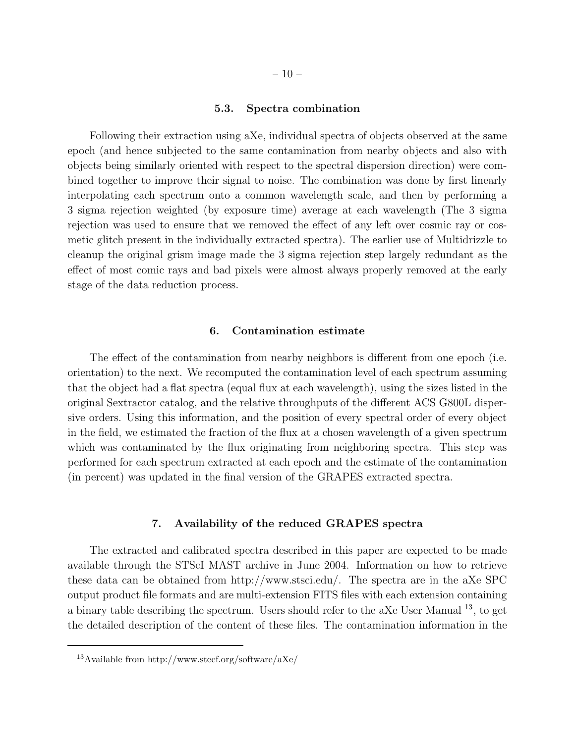## 5.3. Spectra combination

Following their extraction using aXe, individual spectra of objects observed at the same epoch (and hence subjected to the same contamination from nearby objects and also with objects being similarly oriented with respect to the spectral dispersion direction) were combined together to improve their signal to noise. The combination was done by first linearly interpolating each spectrum onto a common wavelength scale, and then by performing a 3 sigma rejection weighted (by exposure time) average at each wavelength (The 3 sigma rejection was used to ensure that we removed the effect of any left over cosmic ray or cosmetic glitch present in the individually extracted spectra). The earlier use of Multidrizzle to cleanup the original grism image made the 3 sigma rejection step largely redundant as the effect of most comic rays and bad pixels were almost always properly removed at the early stage of the data reduction process.

## 6. Contamination estimate

The effect of the contamination from nearby neighbors is different from one epoch (i.e. orientation) to the next. We recomputed the contamination level of each spectrum assuming that the object had a flat spectra (equal flux at each wavelength), using the sizes listed in the original Sextractor catalog, and the relative throughputs of the different ACS G800L dispersive orders. Using this information, and the position of every spectral order of every object in the field, we estimated the fraction of the flux at a chosen wavelength of a given spectrum which was contaminated by the flux originating from neighboring spectra. This step was performed for each spectrum extracted at each epoch and the estimate of the contamination (in percent) was updated in the final version of the GRAPES extracted spectra.

## 7. Availability of the reduced GRAPES spectra

The extracted and calibrated spectra described in this paper are expected to be made available through the STScI MAST archive in June 2004. Information on how to retrieve these data can be obtained from http://www.stsci.edu/. The spectra are in the aXe SPC output product file formats and are multi-extension FITS files with each extension containing a binary table describing the spectrum. Users should refer to the aXe User Manual  $^{13}$ , to get the detailed description of the content of these files. The contamination information in the

<sup>&</sup>lt;sup>13</sup>Available from http://www.stecf.org/software/aXe/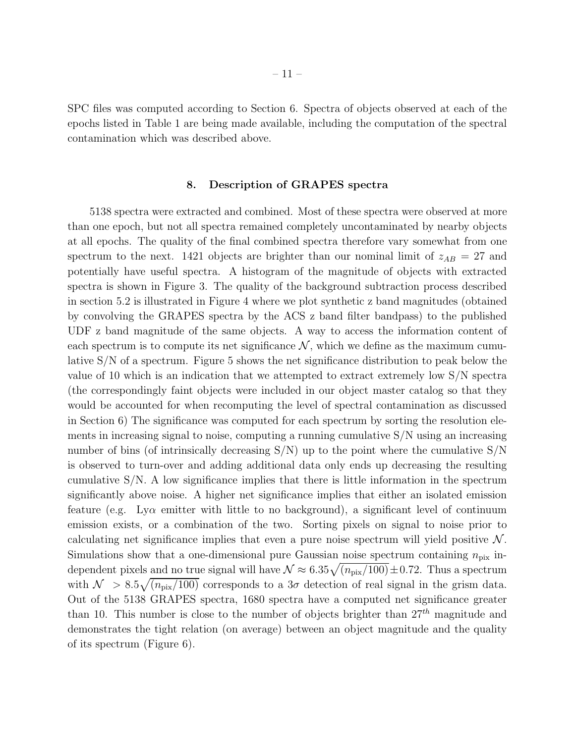SPC files was computed according to Section 6. Spectra of objects observed at each of the epochs listed in Table 1 are being made available, including the computation of the spectral contamination which was described above.

# 8. Description of GRAPES spectra

5138 spectra were extracted and combined. Most of these spectra were observed at more than one epoch, but not all spectra remained completely uncontaminated by nearby objects at all epochs. The quality of the final combined spectra therefore vary somewhat from one spectrum to the next. 1421 objects are brighter than our nominal limit of  $z_{AB} = 27$  and potentially have useful spectra. A histogram of the magnitude of objects with extracted spectra is shown in Figure 3. The quality of the background subtraction process described in section 5.2 is illustrated in Figure 4 where we plot synthetic z band magnitudes (obtained by convolving the GRAPES spectra by the ACS z band filter bandpass) to the published UDF z band magnitude of the same objects. A way to access the information content of each spectrum is to compute its net significance  $\mathcal{N}$ , which we define as the maximum cumulative S/N of a spectrum. Figure 5 shows the net significance distribution to peak below the value of 10 which is an indication that we attempted to extract extremely low S/N spectra (the correspondingly faint objects were included in our object master catalog so that they would be accounted for when recomputing the level of spectral contamination as discussed in Section 6) The significance was computed for each spectrum by sorting the resolution elements in increasing signal to noise, computing a running cumulative S/N using an increasing number of bins (of intrinsically decreasing  $S/N$ ) up to the point where the cumulative  $S/N$ is observed to turn-over and adding additional data only ends up decreasing the resulting cumulative S/N. A low significance implies that there is little information in the spectrum significantly above noise. A higher net significance implies that either an isolated emission feature (e.g. Ly $\alpha$  emitter with little to no background), a significant level of continuum emission exists, or a combination of the two. Sorting pixels on signal to noise prior to calculating net significance implies that even a pure noise spectrum will yield positive  $\mathcal N$ . Simulations show that a one-dimensional pure Gaussian noise spectrum containing  $n_{\text{pix}}$  independent pixels and no true signal will have  $\mathcal{N} \approx 6.35 \sqrt{(n_{\text{pix}}/100)} \pm 0.72$ . Thus a spectrum with  $\mathcal{N} > 8.5\sqrt{(n_{\text{pix}}/100)}$  corresponds to a  $3\sigma$  detection of real signal in the grism data. Out of the 5138 GRAPES spectra, 1680 spectra have a computed net significance greater than 10. This number is close to the number of objects brighter than  $27<sup>th</sup>$  magnitude and demonstrates the tight relation (on average) between an object magnitude and the quality of its spectrum (Figure 6).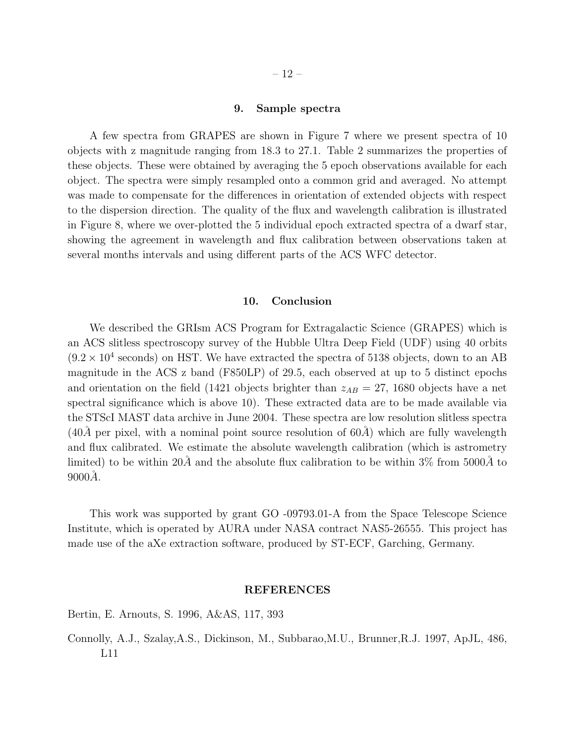## 9. Sample spectra

A few spectra from GRAPES are shown in Figure 7 where we present spectra of 10 objects with z magnitude ranging from 18.3 to 27.1. Table 2 summarizes the properties of these objects. These were obtained by averaging the 5 epoch observations available for each object. The spectra were simply resampled onto a common grid and averaged. No attempt was made to compensate for the differences in orientation of extended objects with respect to the dispersion direction. The quality of the flux and wavelength calibration is illustrated in Figure 8, where we over-plotted the 5 individual epoch extracted spectra of a dwarf star, showing the agreement in wavelength and flux calibration between observations taken at several months intervals and using different parts of the ACS WFC detector.

## 10. Conclusion

We described the GRIsm ACS Program for Extragalactic Science (GRAPES) which is an ACS slitless spectroscopy survey of the Hubble Ultra Deep Field (UDF) using 40 orbits  $(9.2 \times 10^4 \text{ seconds})$  on HST. We have extracted the spectra of 5138 objects, down to an AB magnitude in the ACS z band (F850LP) of 29.5, each observed at up to 5 distinct epochs and orientation on the field (1421 objects brighter than  $z_{AB} = 27$ , 1680 objects have a net spectral significance which is above 10). These extracted data are to be made available via the STScI MAST data archive in June 2004. These spectra are low resolution slitless spectra  $(40\AA)$  per pixel, with a nominal point source resolution of  $60\AA)$  which are fully wavelength and flux calibrated. We estimate the absolute wavelength calibration (which is astrometry limited) to be within  $20\AA$  and the absolute flux calibration to be within  $3\%$  from  $5000\AA$  to  $9000\AA$ .

This work was supported by grant GO -09793.01-A from the Space Telescope Science Institute, which is operated by AURA under NASA contract NAS5-26555. This project has made use of the aXe extraction software, produced by ST-ECF, Garching, Germany.

## REFERENCES

Bertin, E. Arnouts, S. 1996, A&AS, 117, 393

Connolly, A.J., Szalay,A.S., Dickinson, M., Subbarao,M.U., Brunner,R.J. 1997, ApJL, 486, L11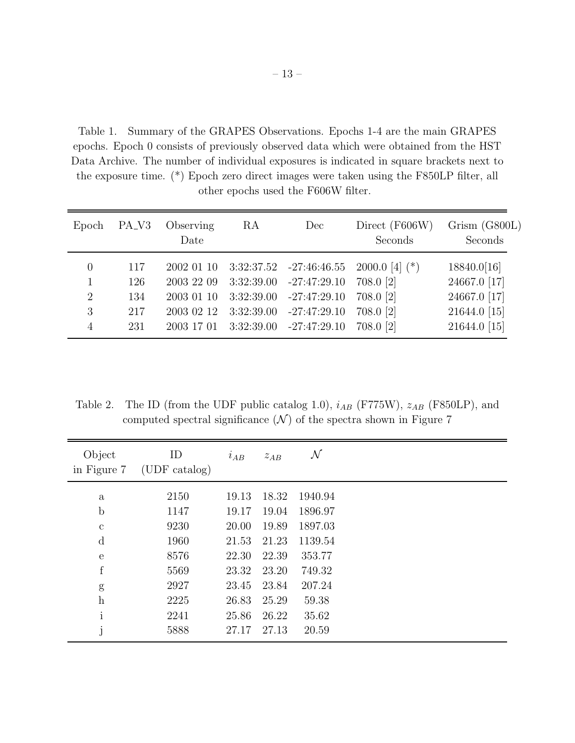Table 1. Summary of the GRAPES Observations. Epochs 1-4 are the main GRAPES epochs. Epoch 0 consists of previously observed data which were obtained from the HST Data Archive. The number of individual exposures is indicated in square brackets next to the exposure time. (\*) Epoch zero direct images were taken using the F850LP filter, all other epochs used the F606W filter.

| Epoch                      | PA <sub>-</sub> V <sub>3</sub> | Observing<br>Date                      | RA         | Dec                                                                      | Direct (F606W)<br>Seconds                  | Grism (G800L)<br>Seconds                    |
|----------------------------|--------------------------------|----------------------------------------|------------|--------------------------------------------------------------------------|--------------------------------------------|---------------------------------------------|
| $\theta$<br>$\overline{2}$ | 117<br>126<br>134              | 2002 01 10<br>2003 22 09<br>2003 01 10 | 3:32:39.00 | $3:32:37.52$ $-27:46:46.55$<br>3:32:39.00 -27:47:29.10<br>$-27:47:29.10$ | $2000.0$ [4] (*)<br>708.0 [2]<br>708.0 [2] | 18840.0[16]<br>24667.0 [17]<br>24667.0 [17] |
| 3<br>$\overline{4}$        | 217<br>231                     | 2003 02 12<br>2003 17 01               | 3:32:39.00 | $-27:47:29.10$<br>3:32:39.00 -27:47:29.10                                | 708.0 [2]<br>708.0 [2]                     | 21644.0 [15]<br>21644.0 [15]                |

Table 2. The ID (from the UDF public catalog 1.0),  $i_{AB}$  (F775W),  $z_{AB}$  (F850LP), and computed spectral significance  $(N)$  of the spectra shown in Figure 7

| Object<br>in Figure 7     | ID<br>(UDF catalog) | $i_{AB}$ | $z_{AB}$ | $\mathcal N$ |  |
|---------------------------|---------------------|----------|----------|--------------|--|
| $\mathbf{a}$              | 2150                | 19.13    | 18.32    | 1940.94      |  |
| $\mathbf b$               | 1147                | 19.17    | 19.04    | 1896.97      |  |
| $\mathbf{c}$              | 9230                | 20.00    | 19.89    | 1897.03      |  |
| d                         | 1960                | 21.53    | 21.23    | 1139.54      |  |
| $\mathbf{e}$              | 8576                | 22.30    | 22.39    | 353.77       |  |
| $\mathbf f$               | 5569                | 23.32    | 23.20    | 749.32       |  |
| g                         | 2927                | 23.45    | 23.84    | 207.24       |  |
| $\boldsymbol{\mathrm{h}}$ | 2225                | 26.83    | 25.29    | 59.38        |  |
| $\mathbf{i}$              | 2241                | 25.86    | 26.22    | 35.62        |  |
| j                         | 5888                | 27.17    | 27.13    | 20.59        |  |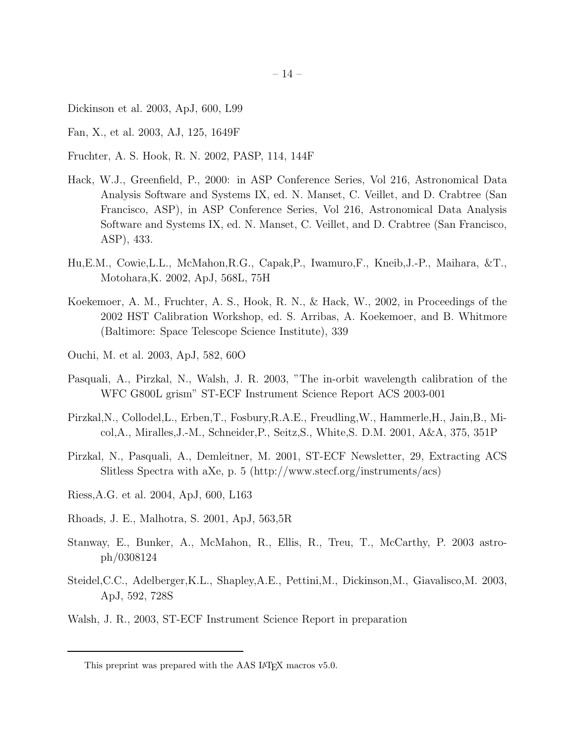- Dickinson et al. 2003, ApJ, 600, L99
- Fan, X., et al. 2003, AJ, 125, 1649F
- Fruchter, A. S. Hook, R. N. 2002, PASP, 114, 144F
- Hack, W.J., Greenfield, P., 2000: in ASP Conference Series, Vol 216, Astronomical Data Analysis Software and Systems IX, ed. N. Manset, C. Veillet, and D. Crabtree (San Francisco, ASP), in ASP Conference Series, Vol 216, Astronomical Data Analysis Software and Systems IX, ed. N. Manset, C. Veillet, and D. Crabtree (San Francisco, ASP), 433.
- Hu,E.M., Cowie,L.L., McMahon,R.G., Capak,P., Iwamuro,F., Kneib,J.-P., Maihara, &T., Motohara,K. 2002, ApJ, 568L, 75H
- Koekemoer, A. M., Fruchter, A. S., Hook, R. N., & Hack, W., 2002, in Proceedings of the 2002 HST Calibration Workshop, ed. S. Arribas, A. Koekemoer, and B. Whitmore (Baltimore: Space Telescope Science Institute), 339
- Ouchi, M. et al. 2003, ApJ, 582, 60O
- Pasquali, A., Pirzkal, N., Walsh, J. R. 2003, "The in-orbit wavelength calibration of the WFC G800L grism" ST-ECF Instrument Science Report ACS 2003-001
- Pirzkal,N., Collodel,L., Erben,T., Fosbury,R.A.E., Freudling,W., Hammerle,H., Jain,B., Micol,A., Miralles,J.-M., Schneider,P., Seitz,S., White,S. D.M. 2001, A&A, 375, 351P
- Pirzkal, N., Pasquali, A., Demleitner, M. 2001, ST-ECF Newsletter, 29, Extracting ACS Slitless Spectra with aXe, p. 5 (http://www.stecf.org/instruments/acs)
- Riess,A.G. et al. 2004, ApJ, 600, L163
- Rhoads, J. E., Malhotra, S. 2001, ApJ, 563,5R
- Stanway, E., Bunker, A., McMahon, R., Ellis, R., Treu, T., McCarthy, P. 2003 astroph/0308124
- Steidel,C.C., Adelberger,K.L., Shapley,A.E., Pettini,M., Dickinson,M., Giavalisco,M. 2003, ApJ, 592, 728S
- Walsh, J. R., 2003, ST-ECF Instrument Science Report in preparation

This preprint was prepared with the AAS L<sup>AT</sup>EX macros v5.0.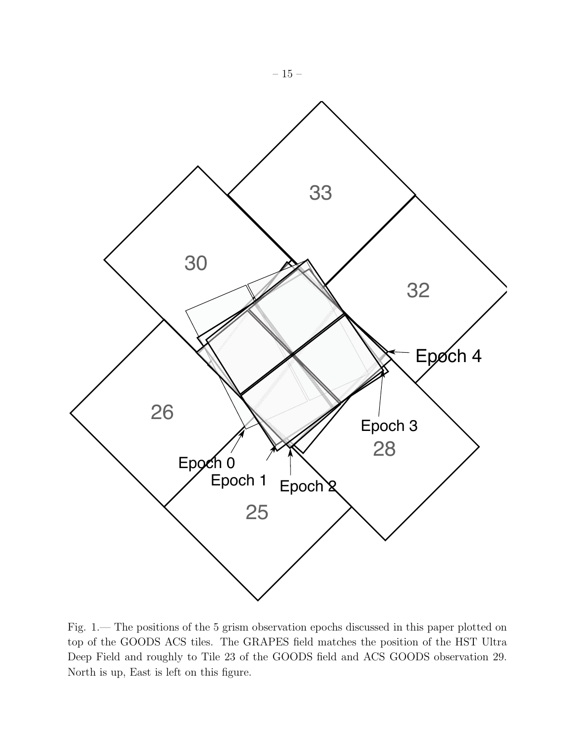

Fig. 1.— The positions of the 5 grism observation epochs discussed in this paper plotted on top of the GOODS ACS tiles. The GRAPES field matches the position of the HST Ultra Deep Field and roughly to Tile 23 of the GOODS field and ACS GOODS observation 29. North is up, East is left on this figure.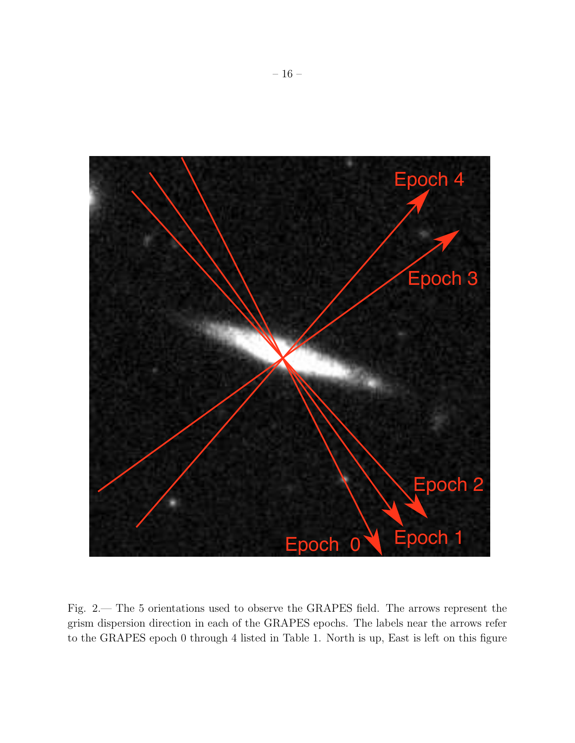

Fig. 2.— The 5 orientations used to observe the GRAPES field. The arrows represent the grism dispersion direction in each of the GRAPES epochs. The labels near the arrows refer to the GRAPES epoch 0 through 4 listed in Table 1. North is up, East is left on this figure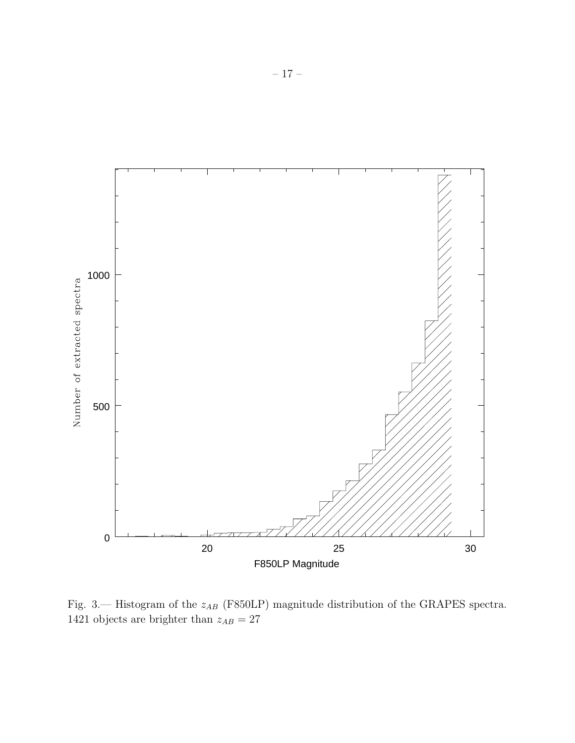

Fig. 3.— Histogram of the  $z_{AB}$  (F850LP) magnitude distribution of the GRAPES spectra. 1421 objects are brighter than  $z_{AB} = 27\,$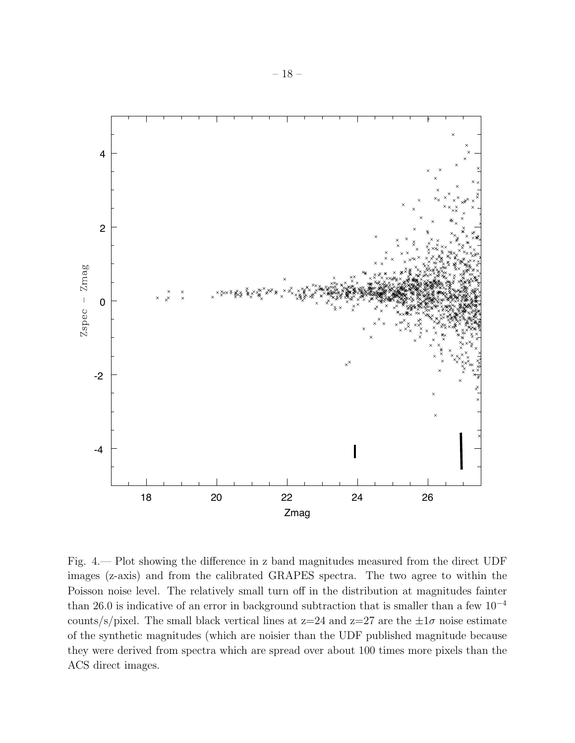

Fig. 4.— Plot showing the difference in z band magnitudes measured from the direct UDF images (z-axis) and from the calibrated GRAPES spectra. The two agree to within the Poisson noise level. The relatively small turn off in the distribution at magnitudes fainter than 26.0 is indicative of an error in background subtraction that is smaller than a few  $10^{-4}$ counts/s/pixel. The small black vertical lines at  $z=24$  and  $z=27$  are the  $\pm 1\sigma$  noise estimate of the synthetic magnitudes (which are noisier than the UDF published magnitude because they were derived from spectra which are spread over about 100 times more pixels than the ACS direct images.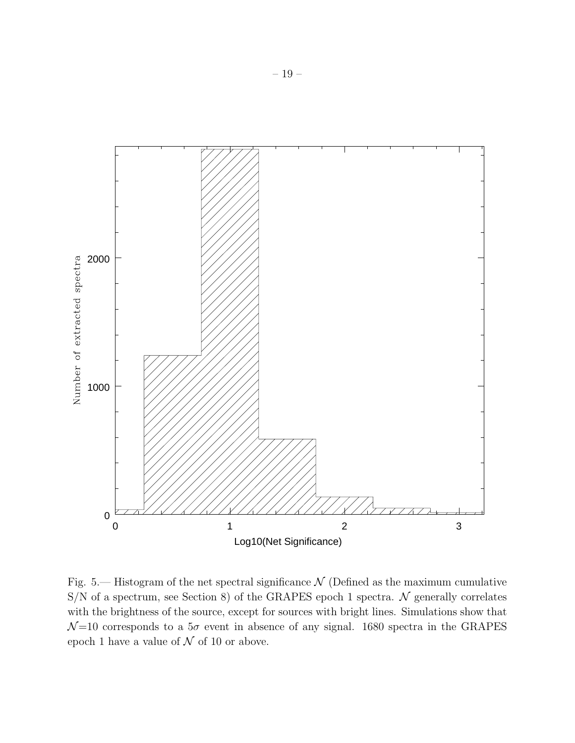

Fig. 5.— Histogram of the net spectral significance  $\mathcal N$  (Defined as the maximum cumulative  $S/N$  of a spectrum, see Section 8) of the GRAPES epoch 1 spectra.  $N$  generally correlates with the brightness of the source, except for sources with bright lines. Simulations show that  $\mathcal{N}=10$  corresponds to a  $5\sigma$  event in absence of any signal. 1680 spectra in the GRAPES epoch 1 have a value of  $N$  of 10 or above.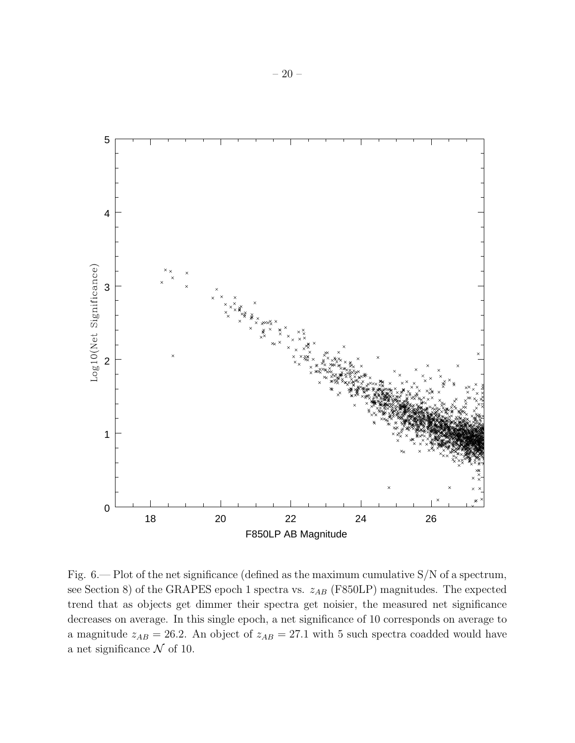

Fig.  $6$  – Plot of the net significance (defined as the maximum cumulative S/N of a spectrum, see Section 8) of the GRAPES epoch 1 spectra vs.  $z_{AB}$  (F850LP) magnitudes. The expected trend that as objects get dimmer their spectra get noisier, the measured net significance decreases on average. In this single epoch, a net significance of 10 corresponds on average to a magnitude  $z_{AB} = 26.2$ . An object of  $z_{AB} = 27.1$  with 5 such spectra coadded would have a net significance  $\mathcal N$  of 10.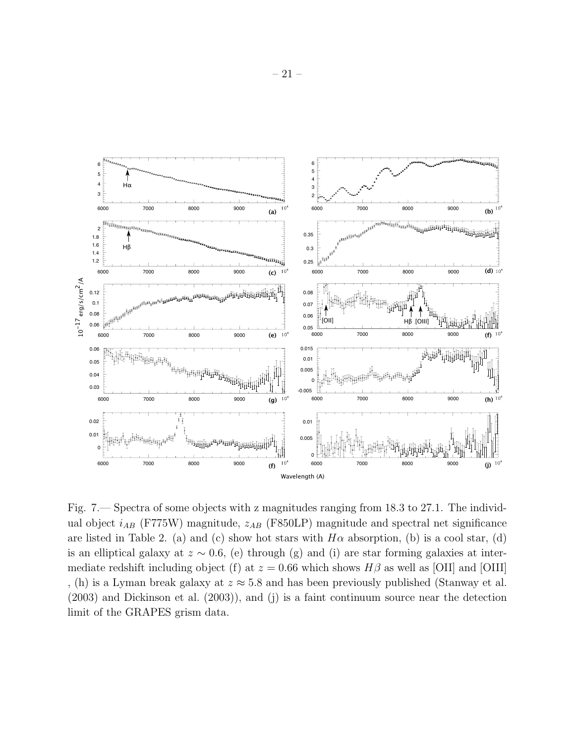

Fig. 7.— Spectra of some objects with z magnitudes ranging from 18.3 to 27.1. The individual object  $i_{AB}$  (F775W) magnitude,  $z_{AB}$  (F850LP) magnitude and spectral net significance are listed in Table 2. (a) and (c) show hot stars with  $H\alpha$  absorption, (b) is a cool star, (d) is an elliptical galaxy at  $z \sim 0.6$ , (e) through (g) and (i) are star forming galaxies at intermediate redshift including object (f) at  $z = 0.66$  which shows  $H\beta$  as well as [OII] and [OIII] , (h) is a Lyman break galaxy at  $z \approx 5.8$  and has been previously published (Stanway et al. (2003) and Dickinson et al. (2003)), and (j) is a faint continuum source near the detection limit of the GRAPES grism data.